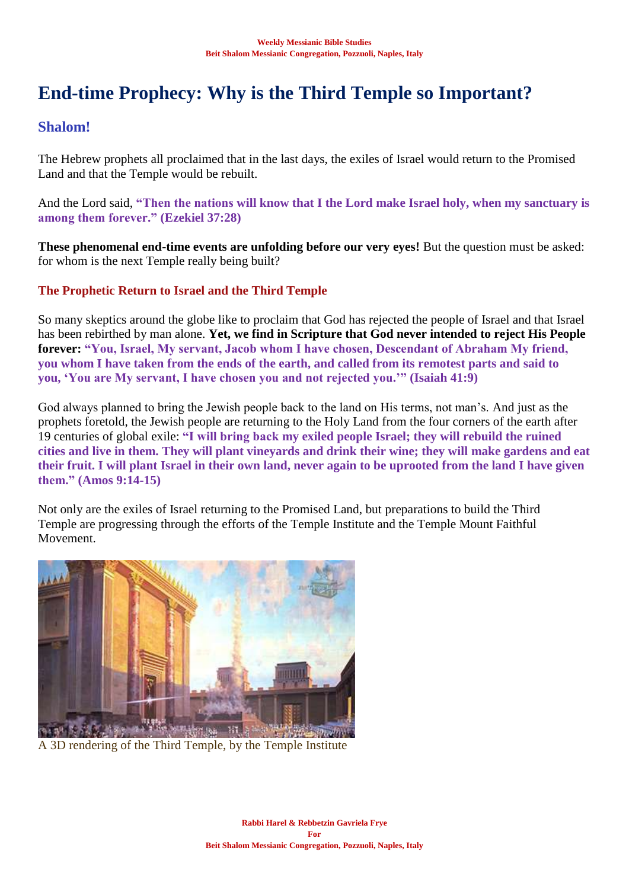# **End-time Prophecy: Why is the Third Temple so Important?**

## **Shalom!**

The Hebrew prophets all proclaimed that in the last days, the exiles of Israel would return to the Promised Land and that the Temple would be rebuilt.

And the Lord said, **"Then the nations will know that I the Lord make Israel holy, when my sanctuary is among them forever." (Ezekiel 37:28)**

**These phenomenal end-time events are unfolding before our very eyes!** But the question must be asked: for whom is the next Temple really being built?

## **The Prophetic Return to Israel and the Third Temple**

So many skeptics around the globe like to proclaim that God has rejected the people of Israel and that Israel has been rebirthed by man alone. **Yet, we find in Scripture that God never intended to reject His People forever: "You, Israel, My servant, Jacob whom I have chosen, Descendant of Abraham My friend, you whom I have taken from the ends of the earth, and called from its remotest parts and said to you, 'You are My servant, I have chosen you and not rejected you.'" (Isaiah 41:9)**

God always planned to bring the Jewish people back to the land on His terms, not man's. And just as the prophets foretold, the Jewish people are returning to the Holy Land from the four corners of the earth after 19 centuries of global exile: **"I will bring back my exiled people Israel; they will rebuild the ruined cities and live in them. They will plant vineyards and drink their wine; they will make gardens and eat their fruit. I will plant Israel in their own land, never again to be uprooted from the land I have given them." (Amos 9:14-15)** 

Not only are the exiles of Israel returning to the Promised Land, but preparations to build the Third Temple are progressing through the efforts of the Temple Institute and the Temple Mount Faithful Movement.



A 3D rendering of the Third Temple, by the Temple Institute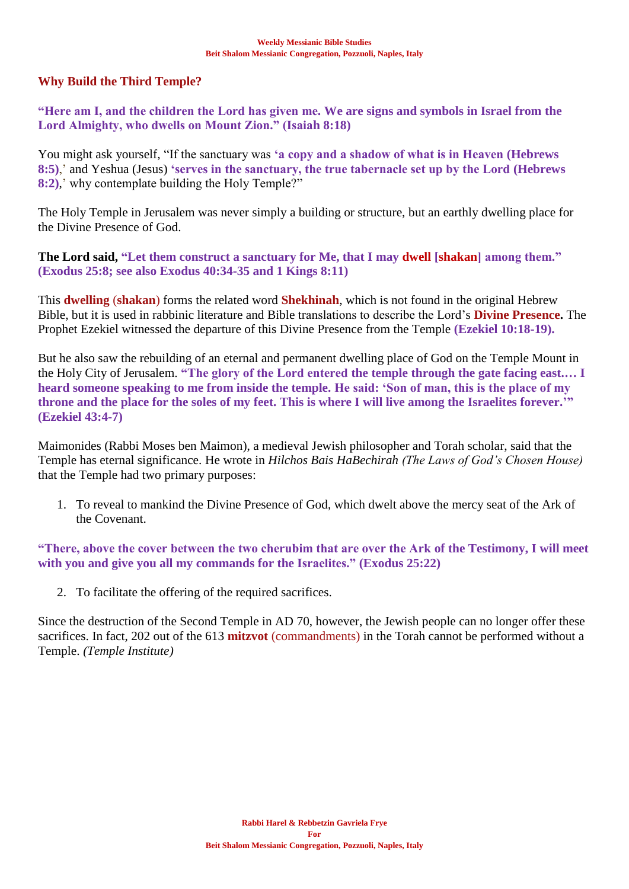## **Why Build the Third Temple?**

**"Here am I, and the children the Lord has given me. We are signs and symbols in Israel from the Lord Almighty, who dwells on Mount Zion." (Isaiah 8:18)**

You might ask yourself, "If the sanctuary was **'a copy and a shadow of what is in Heaven (Hebrews 8:5)**,' and Yeshua (Jesus) **'serves in the sanctuary, the true tabernacle set up by the Lord (Hebrews 8:2)**,' why contemplate building the Holy Temple?"

The Holy Temple in Jerusalem was never simply a building or structure, but an earthly dwelling place for the Divine Presence of God.

**The Lord said, "Let them construct a sanctuary for Me, that I may dwell [shakan] among them." (Exodus 25:8; see also Exodus 40:34-35 and 1 Kings 8:11)**

This **dwelling** (**shakan**) forms the related word **Shekhinah**, which is not found in the original Hebrew Bible, but it is used in rabbinic literature and Bible translations to describe the Lord's **Divine Presence.** The Prophet Ezekiel witnessed the departure of this Divine Presence from the Temple **(Ezekiel 10:18-19).**

But he also saw the rebuilding of an eternal and permanent dwelling place of God on the Temple Mount in the Holy City of Jerusalem. **"The glory of the Lord entered the temple through the gate facing east.… I heard someone speaking to me from inside the temple. He said: 'Son of man, this is the place of my throne and the place for the soles of my feet. This is where I will live among the Israelites forever.'" (Ezekiel 43:4-7)**

Maimonides (Rabbi Moses ben Maimon), a medieval Jewish philosopher and Torah scholar, said that the Temple has eternal significance. He wrote in *Hilchos Bais HaBechirah (The Laws of God's Chosen House)* that the Temple had two primary purposes:

1. To reveal to mankind the Divine Presence of God, which dwelt above the mercy seat of the Ark of the Covenant.

**"There, above the cover between the two cherubim that are over the Ark of the Testimony, I will meet with you and give you all my commands for the Israelites." (Exodus 25:22)**

2. To facilitate the offering of the required sacrifices.

Since the destruction of the Second Temple in AD 70, however, the Jewish people can no longer offer these sacrifices. In fact, 202 out of the 613 **mitzvot** (commandments) in the Torah cannot be performed without a Temple. *(Temple Institute)*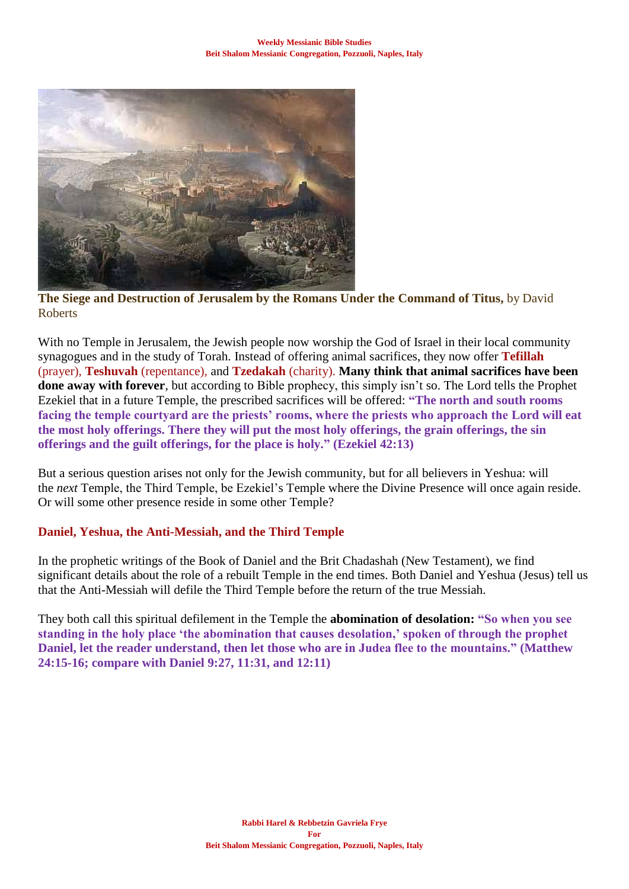

**The Siege and Destruction of Jerusalem by the Romans Under the Command of Titus,** by David Roberts

With no Temple in Jerusalem, the Jewish people now worship the God of Israel in their local community synagogues and in the study of Torah. Instead of offering animal sacrifices, they now offer **Tefillah** (prayer), **Teshuvah** (repentance), and **Tzedakah** (charity). **Many think that animal sacrifices have been done away with forever**, but according to Bible prophecy, this simply isn't so. The Lord tells the Prophet Ezekiel that in a future Temple, the prescribed sacrifices will be offered: **"The north and south rooms facing the temple courtyard are the priests' rooms, where the priests who approach the Lord will eat the most holy offerings. There they will put the most holy offerings, the grain offerings, the sin offerings and the guilt offerings, for the place is holy." (Ezekiel 42:13)**

But a serious question arises not only for the Jewish community, but for all believers in Yeshua: will the *next* Temple, the Third Temple, be Ezekiel's Temple where the Divine Presence will once again reside. Or will some other presence reside in some other Temple?

## **Daniel, Yeshua, the Anti-Messiah, and the Third Temple**

In the prophetic writings of the Book of Daniel and the Brit Chadashah (New Testament), we find significant details about the role of a rebuilt Temple in the end times. Both Daniel and Yeshua (Jesus) tell us that the Anti-Messiah will defile the Third Temple before the return of the true Messiah.

They both call this spiritual defilement in the Temple the **abomination of desolation: "So when you see standing in the holy place 'the abomination that causes desolation,' spoken of through the prophet Daniel, let the reader understand, then let those who are in Judea flee to the mountains." (Matthew 24:15-16; compare with Daniel 9:27, 11:31, and 12:11)**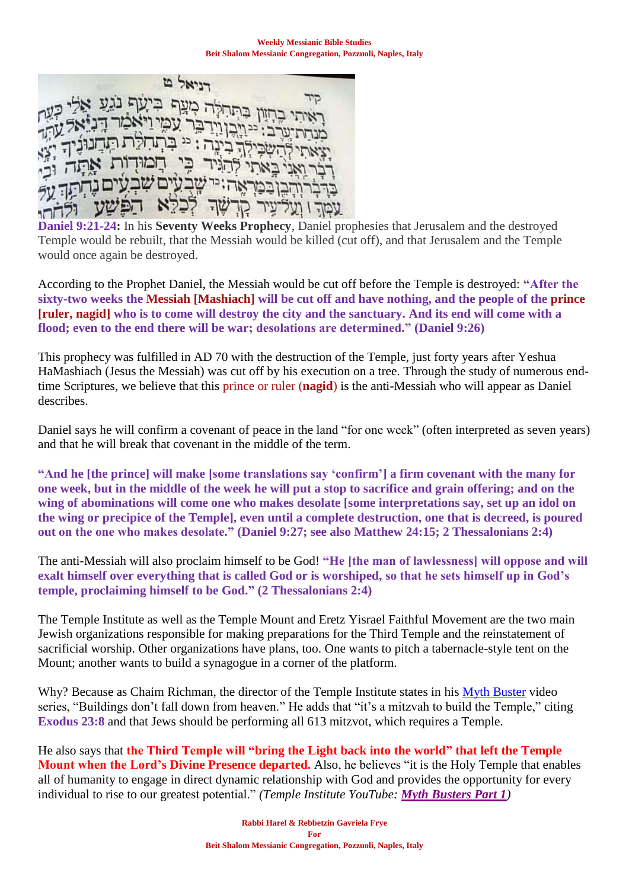D Spenn ויאמו שבעים ש רכדא עמד ו ועל־עיר קו

**Daniel 9:21-24:** In his **Seventy Weeks Prophecy**, Daniel prophesies that Jerusalem and the destroyed Temple would be rebuilt, that the Messiah would be killed (cut off), and that Jerusalem and the Temple would once again be destroyed.

According to the Prophet Daniel, the Messiah would be cut off before the Temple is destroyed: **"After the sixty-two weeks the Messiah [Mashiach] will be cut off and have nothing, and the people of the prince [ruler, nagid] who is to come will destroy the city and the sanctuary. And its end will come with a flood; even to the end there will be war; desolations are determined." (Daniel 9:26)**

This prophecy was fulfilled in AD 70 with the destruction of the Temple, just forty years after Yeshua HaMashiach (Jesus the Messiah) was cut off by his execution on a tree. Through the study of numerous endtime Scriptures, we believe that this prince or ruler (**nagid**) is the anti-Messiah who will appear as Daniel describes.

Daniel says he will confirm a covenant of peace in the land "for one week" (often interpreted as seven years) and that he will break that covenant in the middle of the term.

**"And he [the prince] will make [some translations say 'confirm'] a firm covenant with the many for one week, but in the middle of the week he will put a stop to sacrifice and grain offering; and on the wing of abominations will come one who makes desolate [some interpretations say, set up an idol on the wing or precipice of the Temple], even until a complete destruction, one that is decreed, is poured out on the one who makes desolate." (Daniel 9:27; see also Matthew 24:15; 2 Thessalonians 2:4)**

The anti-Messiah will also proclaim himself to be God! **"He [the man of lawlessness] will oppose and will exalt himself over everything that is called God or is worshiped, so that he sets himself up in God's temple, proclaiming himself to be God." (2 Thessalonians 2:4)**

The Temple Institute as well as the Temple Mount and Eretz Yisrael Faithful Movement are the two main Jewish organizations responsible for making preparations for the Third Temple and the reinstatement of sacrificial worship. Other organizations have plans, too. One wants to pitch a tabernacle-style tent on the Mount; another wants to build a synagogue in a corner of the platform.

Why? Because as Chaim Richman, the director of the Temple Institute states in his [Myth Buster](https://www.templeinstitute.org/holy-temple-myth-busters-sources.htm) video series, "Buildings don't fall down from heaven." He adds that "it's a mitzvah to build the Temple," citing **Exodus 23:8** and that Jews should be performing all 613 mitzvot, which requires a Temple.

He also says that **the Third Temple will "bring the Light back into the world" that left the Temple Mount when the Lord's Divine Presence departed.** Also, he believes "it is the Holy Temple that enables all of humanity to engage in direct dynamic relationship with God and provides the opportunity for every individual to rise to our greatest potential." *(Temple Institute YouTube: [Myth Busters Part 1](https://www.templeinstitute.org/holy-temple-myth-busters-sources.htm))*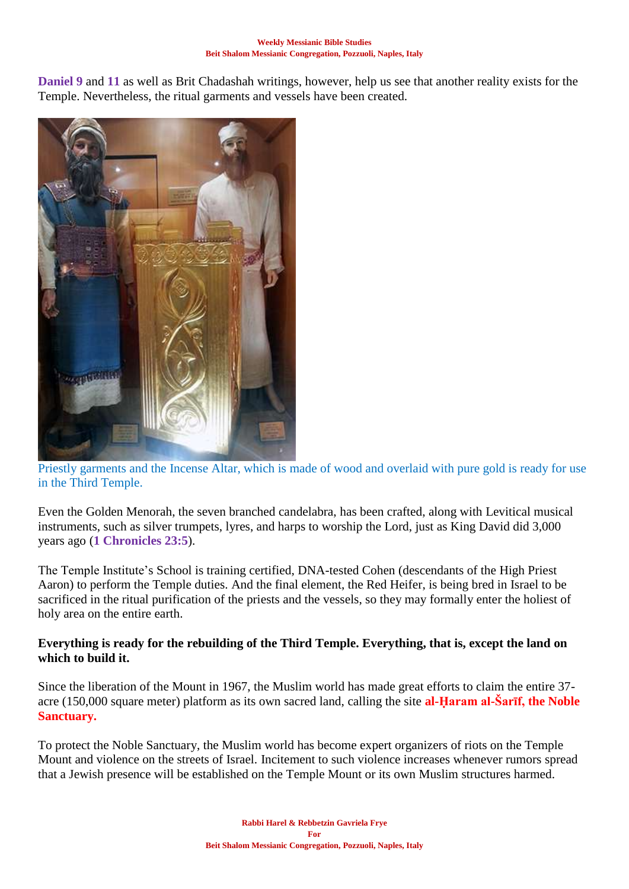**Daniel 9** and **11** as well as Brit Chadashah writings, however, help us see that another reality exists for the Temple. Nevertheless, the ritual garments and vessels have been created.



Priestly garments and the Incense Altar, which is made of wood and overlaid with pure gold is ready for use in the Third Temple.

Even the Golden Menorah, the seven branched candelabra, has been crafted, along with Levitical musical instruments, such as silver trumpets, lyres, and harps to worship the Lord, just as King David did 3,000 years ago (**1 Chronicles 23:5**).

The Temple Institute's School is training certified, DNA-tested Cohen (descendants of the High Priest Aaron) to perform the Temple duties. And the final element, the Red Heifer, is being bred in Israel to be sacrificed in the ritual purification of the priests and the vessels, so they may formally enter the holiest of holy area on the entire earth.

### **Everything is ready for the rebuilding of the Third Temple. Everything, that is, except the land on which to build it.**

Since the liberation of the Mount in 1967, the Muslim world has made great efforts to claim the entire 37 acre (150,000 square meter) platform as its own sacred land, calling the site **al-Ḥaram al-Šarīf, the Noble Sanctuary.**

To protect the Noble Sanctuary, the Muslim world has become expert organizers of riots on the Temple Mount and violence on the streets of Israel. Incitement to such violence increases whenever rumors spread that a Jewish presence will be established on the Temple Mount or its own Muslim structures harmed.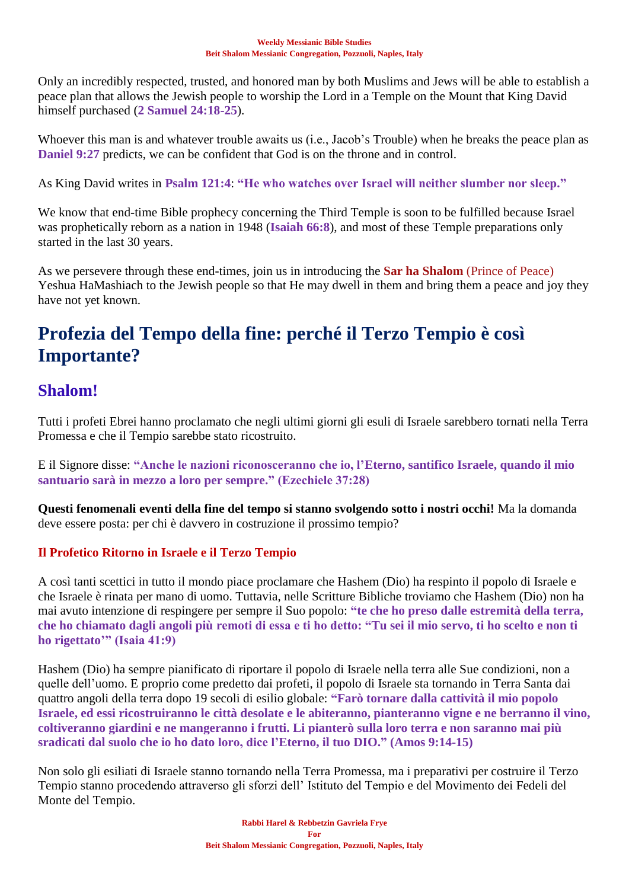Only an incredibly respected, trusted, and honored man by both Muslims and Jews will be able to establish a peace plan that allows the Jewish people to worship the Lord in a Temple on the Mount that King David himself purchased (**2 Samuel 24:18-25**).

Whoever this man is and whatever trouble awaits us (i.e., Jacob's Trouble) when he breaks the peace plan as **Daniel 9:27** predicts, we can be confident that God is on the throne and in control.

As King David writes in **Psalm 121:4**: **"He who watches over Israel will neither slumber nor sleep."**

We know that end-time Bible prophecy concerning the Third Temple is soon to be fulfilled because Israel was prophetically reborn as a nation in 1948 (**Isaiah 66:8**), and most of these Temple preparations only started in the last 30 years.

As we persevere through these end-times, join us in introducing the **Sar ha Shalom** (Prince of Peace) Yeshua HaMashiach to the Jewish people so that He may dwell in them and bring them a peace and joy they have not yet known.

## **Profezia del Tempo della fine: perché il Terzo Tempio è così Importante?**

## **Shalom!**

Tutti i profeti Ebrei hanno proclamato che negli ultimi giorni gli esuli di Israele sarebbero tornati nella Terra Promessa e che il Tempio sarebbe stato ricostruito.

E il Signore disse: **"Anche le nazioni riconosceranno che io, l'Eterno, santifico Israele, quando il mio santuario sarà in mezzo a loro per sempre." (Ezechiele 37:28)**

**Questi fenomenali eventi della fine del tempo si stanno svolgendo sotto i nostri occhi!** Ma la domanda deve essere posta: per chi è davvero in costruzione il prossimo tempio?

## **Il Profetico Ritorno in Israele e il Terzo Tempio**

A così tanti scettici in tutto il mondo piace proclamare che Hashem (Dio) ha respinto il popolo di Israele e che Israele è rinata per mano di uomo. Tuttavia, nelle Scritture Bibliche troviamo che Hashem (Dio) non ha mai avuto intenzione di respingere per sempre il Suo popolo: **"te che ho preso dalle estremità della terra, che ho chiamato dagli angoli più remoti di essa e ti ho detto: "Tu sei il mio servo, ti ho scelto e non ti ho rigettato'" (Isaia 41:9)**

Hashem (Dio) ha sempre pianificato di riportare il popolo di Israele nella terra alle Sue condizioni, non a quelle dell'uomo. E proprio come predetto dai profeti, il popolo di Israele sta tornando in Terra Santa dai quattro angoli della terra dopo 19 secoli di esilio globale: **"Farò tornare dalla cattività il mio popolo Israele, ed essi ricostruiranno le città desolate e le abiteranno, pianteranno vigne e ne berranno il vino, coltiveranno giardini e ne mangeranno i frutti. Li pianterò sulla loro terra e non saranno mai più sradicati dal suolo che io ho dato loro, dice l'Eterno, il tuo DIO." (Amos 9:14-15)**

Non solo gli esiliati di Israele stanno tornando nella Terra Promessa, ma i preparativi per costruire il Terzo Tempio stanno procedendo attraverso gli sforzi dell' Istituto del Tempio e del Movimento dei Fedeli del Monte del Tempio.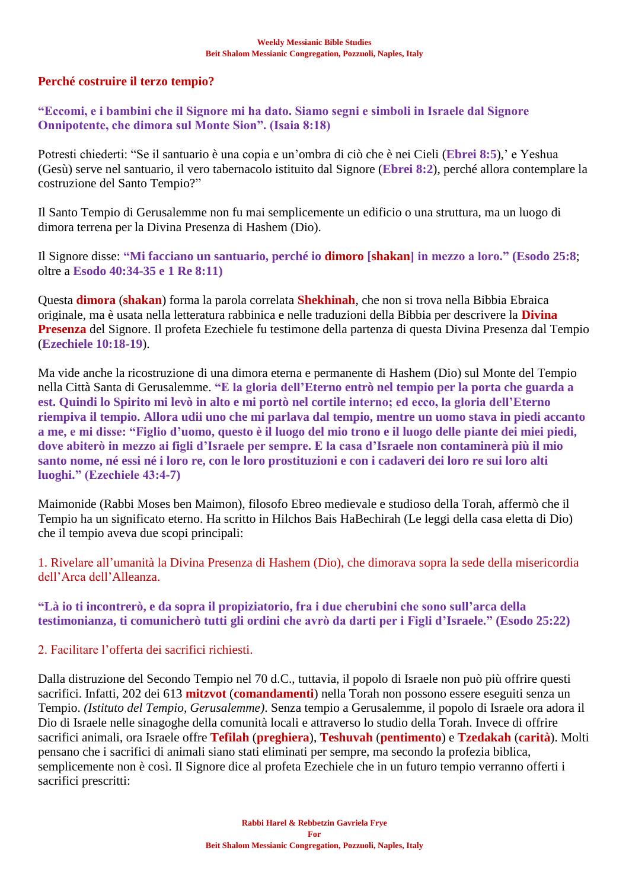## **Perché costruire il terzo tempio?**

**"Eccomi, e i bambini che il Signore mi ha dato. Siamo segni e simboli in Israele dal Signore Onnipotente, che dimora sul Monte Sion". (Isaia 8:18)**

Potresti chiederti: "Se il santuario è una copia e un'ombra di ciò che è nei Cieli (**Ebrei 8:5**),' e Yeshua (Gesù) serve nel santuario, il vero tabernacolo istituito dal Signore (**Ebrei 8:2**), perché allora contemplare la costruzione del Santo Tempio?"

Il Santo Tempio di Gerusalemme non fu mai semplicemente un edificio o una struttura, ma un luogo di dimora terrena per la Divina Presenza di Hashem (Dio).

Il Signore disse: **"Mi facciano un santuario, perché io dimoro [shakan] in mezzo a loro." (Esodo 25:8**; oltre a **Esodo 40:34-35 e 1 Re 8:11)**

Questa **dimora** (**shakan**) forma la parola correlata **Shekhinah**, che non si trova nella Bibbia Ebraica originale, ma è usata nella letteratura rabbinica e nelle traduzioni della Bibbia per descrivere la **Divina Presenza** del Signore. Il profeta Ezechiele fu testimone della partenza di questa Divina Presenza dal Tempio (**Ezechiele 10:18-19**).

Ma vide anche la ricostruzione di una dimora eterna e permanente di Hashem (Dio) sul Monte del Tempio nella Città Santa di Gerusalemme. **"E la gloria dell'Eterno entrò nel tempio per la porta che guarda a est. Quindi lo Spirito mi levò in alto e mi portò nel cortile interno; ed ecco, la gloria dell'Eterno riempiva il tempio. Allora udii uno che mi parlava dal tempio, mentre un uomo stava in piedi accanto a me, e mi disse: "Figlio d'uomo, questo è il luogo del mio trono e il luogo delle piante dei miei piedi, dove abiterò in mezzo ai figli d'Israele per sempre. E la casa d'Israele non contaminerà più il mio santo nome, né essi né i loro re, con le loro prostituzioni e con i cadaveri dei loro re sui loro alti luoghi." (Ezechiele 43:4-7)**

Maimonide (Rabbi Moses ben Maimon), filosofo Ebreo medievale e studioso della Torah, affermò che il Tempio ha un significato eterno. Ha scritto in Hilchos Bais HaBechirah (Le leggi della casa eletta di Dio) che il tempio aveva due scopi principali:

1. Rivelare all'umanità la Divina Presenza di Hashem (Dio), che dimorava sopra la sede della misericordia dell'Arca dell'Alleanza.

**"Là io ti incontrerò, e da sopra il propiziatorio, fra i due cherubini che sono sull'arca della testimonianza, ti comunicherò tutti gli ordini che avrò da darti per i Figli d'Israele." (Esodo 25:22)**

2. Facilitare l'offerta dei sacrifici richiesti.

Dalla distruzione del Secondo Tempio nel 70 d.C., tuttavia, il popolo di Israele non può più offrire questi sacrifici. Infatti, 202 dei 613 **mitzvot** (**comandamenti**) nella Torah non possono essere eseguiti senza un Tempio. *(Istituto del Tempio, Gerusalemme)*. Senza tempio a Gerusalemme, il popolo di Israele ora adora il Dio di Israele nelle sinagoghe della comunità locali e attraverso lo studio della Torah. Invece di offrire sacrifici animali, ora Israele offre **Tefilah** (**preghiera**), **Teshuvah** (**pentimento**) e **Tzedakah** (**carità**). Molti pensano che i sacrifici di animali siano stati eliminati per sempre, ma secondo la profezia biblica, semplicemente non è così. Il Signore dice al profeta Ezechiele che in un futuro tempio verranno offerti i sacrifici prescritti: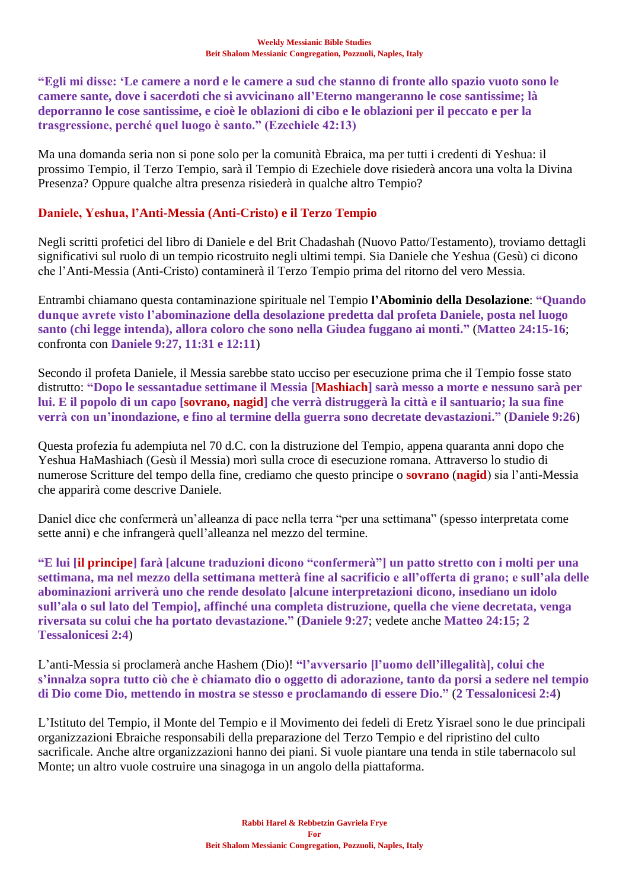**"Egli mi disse: 'Le camere a nord e le camere a sud che stanno di fronte allo spazio vuoto sono le camere sante, dove i sacerdoti che si avvicinano all'Eterno mangeranno le cose santissime; là deporranno le cose santissime, e cioè le oblazioni di cibo e le oblazioni per il peccato e per la trasgressione, perché quel luogo è santo." (Ezechiele 42:13)**

Ma una domanda seria non si pone solo per la comunità Ebraica, ma per tutti i credenti di Yeshua: il prossimo Tempio, il Terzo Tempio, sarà il Tempio di Ezechiele dove risiederà ancora una volta la Divina Presenza? Oppure qualche altra presenza risiederà in qualche altro Tempio?

## **Daniele, Yeshua, l'Anti-Messia (Anti-Cristo) e il Terzo Tempio**

Negli scritti profetici del libro di Daniele e del Brit Chadashah (Nuovo Patto/Testamento), troviamo dettagli significativi sul ruolo di un tempio ricostruito negli ultimi tempi. Sia Daniele che Yeshua (Gesù) ci dicono che l'Anti-Messia (Anti-Cristo) contaminerà il Terzo Tempio prima del ritorno del vero Messia.

Entrambi chiamano questa contaminazione spirituale nel Tempio **l'Abominio della Desolazione**: **"Quando dunque avrete visto l'abominazione della desolazione predetta dal profeta Daniele, posta nel luogo santo (chi legge intenda), allora coloro che sono nella Giudea fuggano ai monti."** (**Matteo 24:15-16**; confronta con **Daniele 9:27, 11:31 e 12:11**)

Secondo il profeta Daniele, il Messia sarebbe stato ucciso per esecuzione prima che il Tempio fosse stato distrutto: **"Dopo le sessantadue settimane il Messia [Mashiach] sarà messo a morte e nessuno sarà per lui. E il popolo di un capo [sovrano, nagid] che verrà distruggerà la città e il santuario; la sua fine verrà con un'inondazione, e fino al termine della guerra sono decretate devastazioni."** (**Daniele 9:26**)

Questa profezia fu adempiuta nel 70 d.C. con la distruzione del Tempio, appena quaranta anni dopo che Yeshua HaMashiach (Gesù il Messia) morì sulla croce di esecuzione romana. Attraverso lo studio di numerose Scritture del tempo della fine, crediamo che questo principe o **sovrano** (**nagid**) sia l'anti-Messia che apparirà come descrive Daniele.

Daniel dice che confermerà un'alleanza di pace nella terra "per una settimana" (spesso interpretata come sette anni) e che infrangerà quell'alleanza nel mezzo del termine.

**"E lui [il principe] farà [alcune traduzioni dicono "confermerà"] un patto stretto con i molti per una settimana, ma nel mezzo della settimana metterà fine al sacrificio e all'offerta di grano; e sull'ala delle abominazioni arriverà uno che rende desolato [alcune interpretazioni dicono, insediano un idolo sull'ala o sul lato del Tempio], affinché una completa distruzione, quella che viene decretata, venga riversata su colui che ha portato devastazione."** (**Daniele 9:27**; vedete anche **Matteo 24:15; 2 Tessalonicesi 2:4**)

L'anti-Messia si proclamerà anche Hashem (Dio)! **"l'avversario [l'uomo dell'illegalità], colui che s'innalza sopra tutto ciò che è chiamato dio o oggetto di adorazione, tanto da porsi a sedere nel tempio di Dio come Dio, mettendo in mostra se stesso e proclamando di essere Dio."** (**2 Tessalonicesi 2:4**)

L'Istituto del Tempio, il Monte del Tempio e il Movimento dei fedeli di Eretz Yisrael sono le due principali organizzazioni Ebraiche responsabili della preparazione del Terzo Tempio e del ripristino del culto sacrificale. Anche altre organizzazioni hanno dei piani. Si vuole piantare una tenda in stile tabernacolo sul Monte; un altro vuole costruire una sinagoga in un angolo della piattaforma.